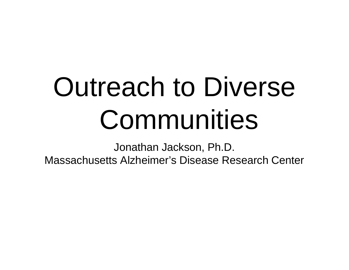# Outreach to Diverse Communities

Jonathan Jackson, Ph.D. Massachusetts Alzheimer's Disease Research Center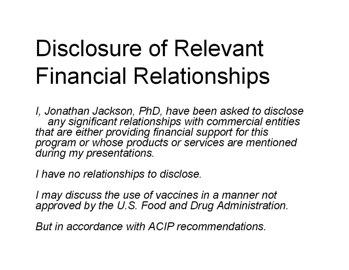### Disclosure of Relevant **Financial Relationships**

I, Jonathan Jackson, PhD, have been asked to disclose any significant relationships with commercial entities that are either providing financial support for this<br>program or whose products or services are mentioned during my presentations.

I have no relationships to disclose.

I may discuss the use of vaccines in a manner not approved by the U.S. Food and Drug Administration.

But in accordance with ACIP recommendations.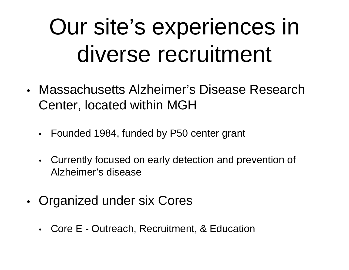### Our site's experiences in diverse recruitment

- $\bullet$  Massachusetts Alzheimer's Disease Research Center, located within MGH
	- $\bullet$ Founded 1984, funded by P50 center grant
	- • Currently focused on early detection and prevention of Alzheimer's disease
- • Organized under six Cores
	- Core E Outreach, Recruitment, & Education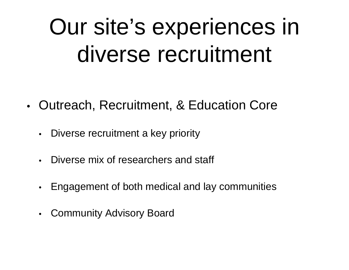### Our site's experiences in diverse recruitment

- •• Outreach, Recruitment, & Education Core
	- $\bullet$ Diverse recruitment a key priority
	- •Diverse mix of researchers and staff
	- $\bullet$ Engagement of both medical and lay communities
	- $\bullet$ Community Advisory Board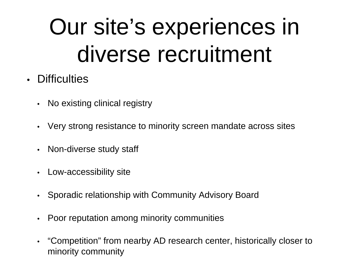### Our site's experiences in diverse recruitment

- Difficulties
	- •No existing clinical registry
	- •Very strong resistance to minority screen mandate across sites
	- •Non-diverse study staff
	- •Low-accessibility site
	- •Sporadic relationship with Community Advisory Board
	- •Poor reputation among minority communities
	- • "Competition" from nearby AD research center, historically closer to minority community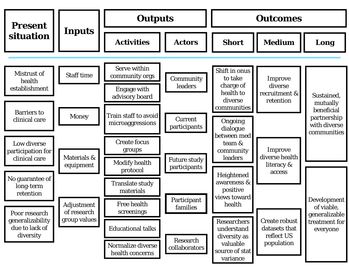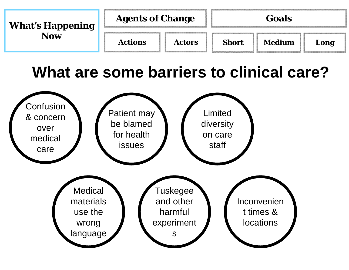| <b>What's Happening</b><br>Now | <b>Agents of Change</b> |               | Goals        |        |      |
|--------------------------------|-------------------------|---------------|--------------|--------|------|
|                                | <b>Actions</b>          | <b>Actors</b> | <b>Short</b> | Medium | Long |

#### **What are some barriers to clinical care?**

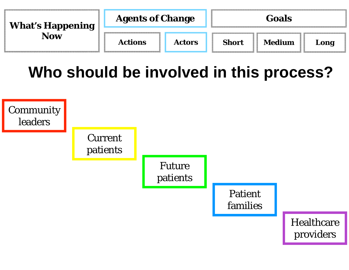| <b>What's Happening</b><br>Now | <b>Agents of Change</b> |               | Goals        |               |      |
|--------------------------------|-------------------------|---------------|--------------|---------------|------|
|                                | <b>Actions</b>          | <b>Actors</b> | <b>Short</b> | <b>Medium</b> | Long |

**Who should be involved in this process?**

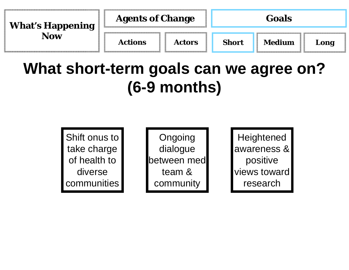| <b>What's Happening</b> | <b>Agents of Change</b> |               | <b>Goals</b> |               |      |
|-------------------------|-------------------------|---------------|--------------|---------------|------|
| <b>Now</b>              | <b>Actions</b>          | <b>Actors</b> | <b>Short</b> | <b>Medium</b> | Long |

#### **What short-term goals can we agree on? (6-9 months)**

Shift onus to take charge of health to diverse communities

Ongoing dialogue between med team & community

**Heightened** awareness & positive views toward research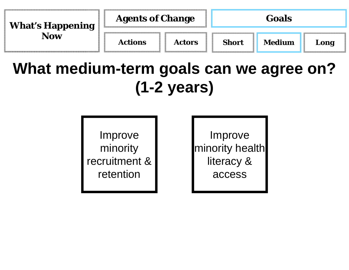| <b>What's Happening</b> | <b>Agents of Change</b> |               | Goals        |               |      |
|-------------------------|-------------------------|---------------|--------------|---------------|------|
| <b>Now</b>              | <b>Actions</b>          | <b>Actors</b> | <b>Short</b> | <b>Medium</b> | Long |

#### **What medium-term goals can we agree on? (1-2 years)**

Improve minority recruitment & retention

Improve minority health literacy & access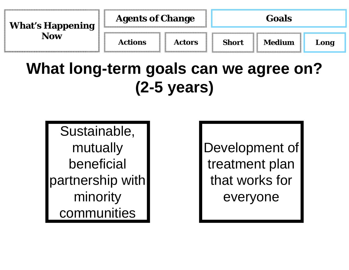| <b>What's Happening</b><br>Now | <b>Agents of Change</b> |               | Goals        |        |      |
|--------------------------------|-------------------------|---------------|--------------|--------|------|
|                                | <b>Actions</b>          | <b>Actors</b> | <b>Short</b> | Medium | Long |

### **What long-term goals can we agree on? (2-5 years)**

Sustainable, mutually beneficial partnership with minority communities

Development of treatment plan that works for everyone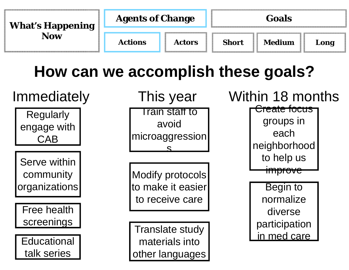| <b>What's Happening</b> | <b>Agents of Change</b> |               | Goals        |               |      |
|-------------------------|-------------------------|---------------|--------------|---------------|------|
| <b>Now</b>              | <b>Actions</b>          | <b>Actors</b> | <b>Short</b> | <b>Medium</b> | Long |

### **How can we accomplish these goals?**